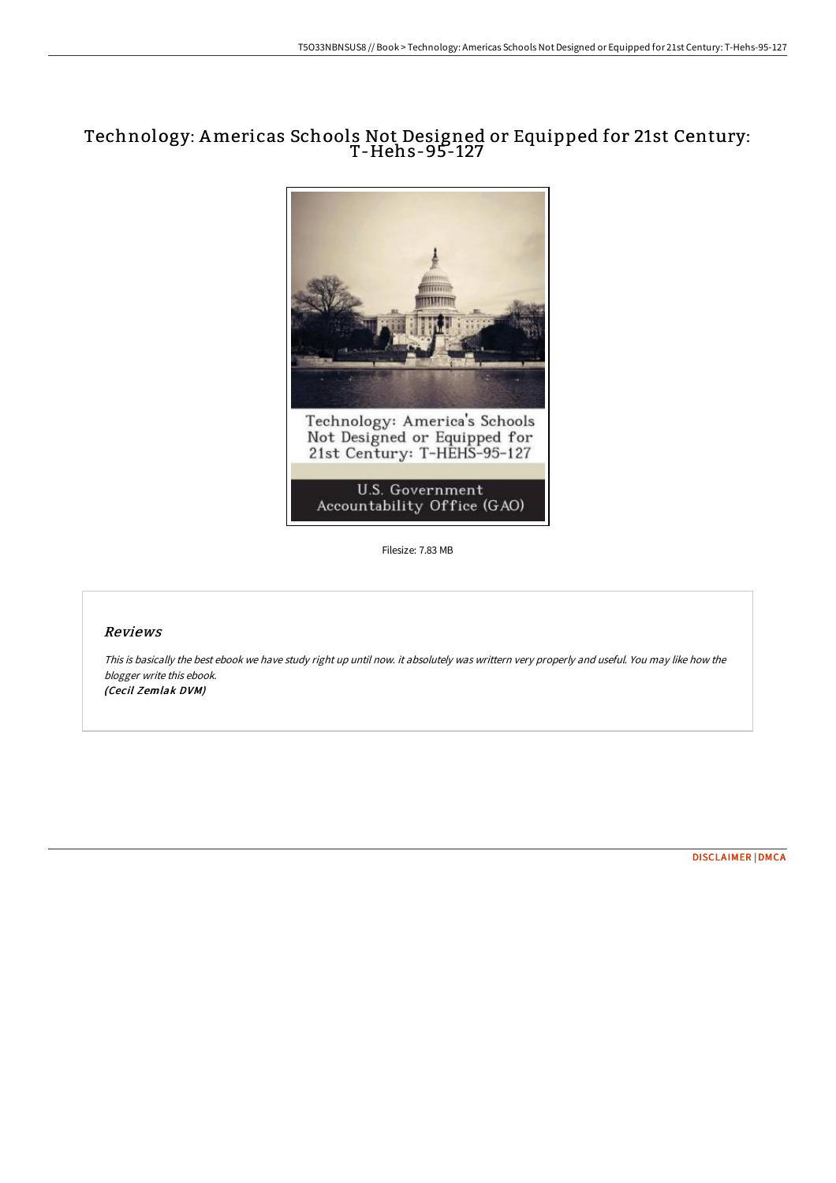## Technology: Americas Schools Not Designed or Equipped for 21st Century: T-Hehs-95-127



Filesize: 7.83 MB

## Reviews

This is basically the best ebook we have study right up until now. it absolutely was writtern very properly and useful. You may like how the blogger write this ebook. (Cecil Zemlak DVM)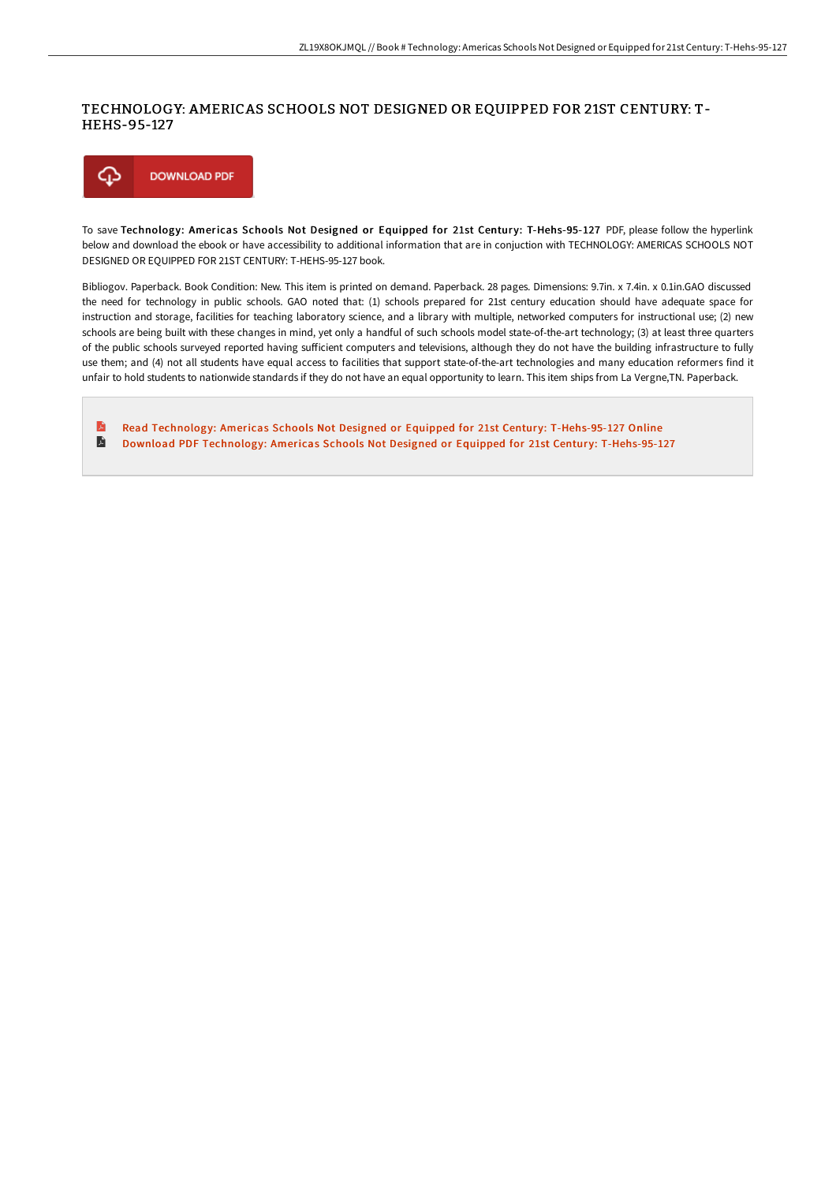## TECHNOLOGY: AMERICAS SCHOOLS NOT DESIGNED OR EQUIPPED FOR 21ST CENTURY: T-HEHS-95-127



To save Technology: Americas Schools Not Designed or Equipped for 21st Century: T-Hehs-95-127 PDF, please follow the hyperlink below and download the ebook or have accessibility to additional information that are in conjuction with TECHNOLOGY: AMERICAS SCHOOLS NOT DESIGNED OR EQUIPPED FOR 21ST CENTURY: T-HEHS-95-127 book.

Bibliogov. Paperback. Book Condition: New. This item is printed on demand. Paperback. 28 pages. Dimensions: 9.7in. x 7.4in. x 0.1in.GAO discussed the need for technology in public schools. GAO noted that: (1) schools prepared for 21st century education should have adequate space for instruction and storage, facilities for teaching laboratory science, and a library with multiple, networked computers for instructional use; (2) new schools are being built with these changes in mind, yet only a handful of such schools model state-of-the-art technology; (3) at least three quarters of the public schools surveyed reported having sufficient computers and televisions, although they do not have the building infrastructure to fully use them; and (4) not all students have equal access to facilities that support state-of-the-art technologies and many education reformers find it unfair to hold students to nationwide standards if they do not have an equal opportunity to learn. This item ships from La Vergne,TN. Paperback.

 $\mathbf{E}$ Read Technology: Americas Schools Not Designed or Equipped for 21st Century: [T-Hehs-95-127](http://albedo.media/technology-americas-schools-not-designed-or-equi.html) Online E Download PDF Technology: Americas Schools Not Designed or Equipped for 21st Century: [T-Hehs-95-127](http://albedo.media/technology-americas-schools-not-designed-or-equi.html)